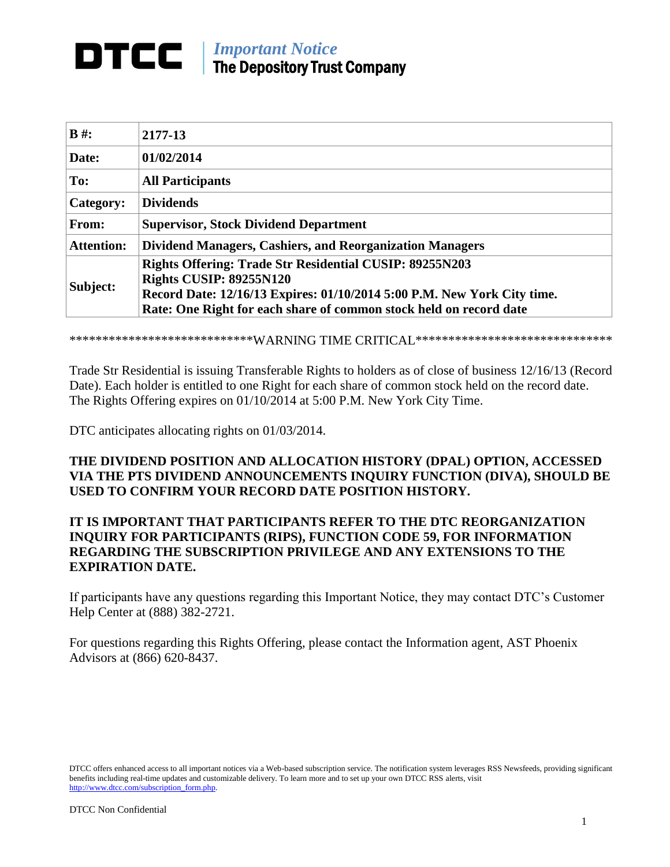## *Important Notice* DTCC The Depository Trust Company

| $B \#$ :          | 2177-13                                                                                                                                                                                                                                           |
|-------------------|---------------------------------------------------------------------------------------------------------------------------------------------------------------------------------------------------------------------------------------------------|
| Date:             | 01/02/2014                                                                                                                                                                                                                                        |
| To:               | <b>All Participants</b>                                                                                                                                                                                                                           |
| Category:         | <b>Dividends</b>                                                                                                                                                                                                                                  |
| From:             | <b>Supervisor, Stock Dividend Department</b>                                                                                                                                                                                                      |
| <b>Attention:</b> | <b>Dividend Managers, Cashiers, and Reorganization Managers</b>                                                                                                                                                                                   |
| Subject:          | <b>Rights Offering: Trade Str Residential CUSIP: 89255N203</b><br><b>Rights CUSIP: 89255N120</b><br>Record Date: 12/16/13 Expires: 01/10/2014 5:00 P.M. New York City time.<br>Rate: One Right for each share of common stock held on record date |

\*\*\*\*\*\*\*\*\*\*\*\*\*\*\*\*\*\*\*\*\*\*\*\*\*\*\*\*\*\*WARNING TIME CRITICAL\*\*\*\*\*\*\*\*\*\*\*\*\*\*\*\*\*\*\*\*\*\*\*\*\*\*\*\*\*

Trade Str Residential is issuing Transferable Rights to holders as of close of business 12/16/13 (Record Date). Each holder is entitled to one Right for each share of common stock held on the record date. The Rights Offering expires on 01/10/2014 at 5:00 P.M. New York City Time.

DTC anticipates allocating rights on 01/03/2014.

## **THE DIVIDEND POSITION AND ALLOCATION HISTORY (DPAL) OPTION, ACCESSED VIA THE PTS DIVIDEND ANNOUNCEMENTS INQUIRY FUNCTION (DIVA), SHOULD BE USED TO CONFIRM YOUR RECORD DATE POSITION HISTORY.**

## **IT IS IMPORTANT THAT PARTICIPANTS REFER TO THE DTC REORGANIZATION INQUIRY FOR PARTICIPANTS (RIPS), FUNCTION CODE 59, FOR INFORMATION REGARDING THE SUBSCRIPTION PRIVILEGE AND ANY EXTENSIONS TO THE EXPIRATION DATE.**

If participants have any questions regarding this Important Notice, they may contact DTC's Customer Help Center at (888) 382-2721.

For questions regarding this Rights Offering, please contact the Information agent, AST Phoenix Advisors at (866) 620-8437.

DTCC offers enhanced access to all important notices via a Web-based subscription service. The notification system leverages RSS Newsfeeds, providing significant benefits including real-time updates and customizable delivery. To learn more and to set up your own DTCC RSS alerts, visit http://www.dtcc.com/subscription\_form.php.